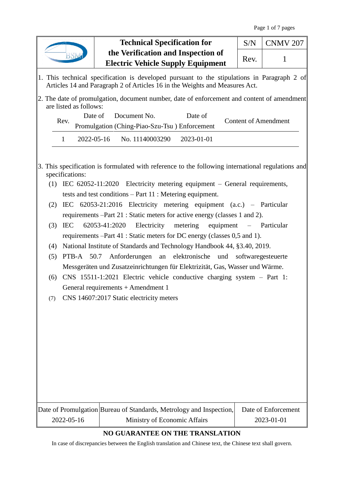|                                                                                                                                                                                                                          | <b>Technical Specification for</b>                                             | S/N  | <b>CNMV 207</b>     |  |  |
|--------------------------------------------------------------------------------------------------------------------------------------------------------------------------------------------------------------------------|--------------------------------------------------------------------------------|------|---------------------|--|--|
|                                                                                                                                                                                                                          | the Verification and Inspection of<br><b>Electric Vehicle Supply Equipment</b> | Rev. | 1                   |  |  |
| 1. This technical specification is developed pursuant to the stipulations in Paragraph 2 of<br>Articles 14 and Paragraph 2 of Articles 16 in the Weights and Measures Act.                                               |                                                                                |      |                     |  |  |
| 2. The date of promulgation, document number, date of enforcement and content of amendment<br>are listed as follows:                                                                                                     |                                                                                |      |                     |  |  |
| Date of<br>Document No.<br>Date of<br><b>Content of Amendment</b><br>Rev.<br>Promulgation (Ching-Piao-Szu-Tsu) Enforcement                                                                                               |                                                                                |      |                     |  |  |
| $\mathbf{1}$                                                                                                                                                                                                             | 2022-05-16<br>No. 11140003290<br>2023-01-01                                    |      |                     |  |  |
| 3. This specification is formulated with reference to the following international regulations and<br>specifications:<br>(1) IEC 62052-11:2020 Electricity metering equipment - General requirements,                     |                                                                                |      |                     |  |  |
| tests and test conditions $-$ Part 11 : Metering equipment.<br>IEC 62053-21:2016 Electricity metering equipment (a.c.) - Particular<br>(2)<br>requirements –Part 21 : Static meters for active energy (classes 1 and 2). |                                                                                |      |                     |  |  |
| 62053-41:2020<br>Electricity metering<br>(3)<br><b>IEC</b><br>equipment – Particular<br>requirements –Part 41 : Static meters for DC energy (classes 0,5 and 1).                                                         |                                                                                |      |                     |  |  |
| (4)                                                                                                                                                                                                                      | National Institute of Standards and Technology Handbook 44, §3.40, 2019.       |      |                     |  |  |
| PTB-A 50.7 Anforderungen an elektronische und softwaregesteuerte<br>(5)<br>Messgeräten und Zusatzeinrichtungen für Elektrizität, Gas, Wasser und Wärme.                                                                  |                                                                                |      |                     |  |  |
| $CNS$ 15511-1:2021 Electric vehicle conductive charging system – Part 1:<br>(6)<br>General requirements + Amendment 1                                                                                                    |                                                                                |      |                     |  |  |
| CNS 14607:2017 Static electricity meters<br>(7)                                                                                                                                                                          |                                                                                |      |                     |  |  |
|                                                                                                                                                                                                                          |                                                                                |      |                     |  |  |
|                                                                                                                                                                                                                          |                                                                                |      |                     |  |  |
|                                                                                                                                                                                                                          |                                                                                |      |                     |  |  |
|                                                                                                                                                                                                                          |                                                                                |      |                     |  |  |
|                                                                                                                                                                                                                          |                                                                                |      |                     |  |  |
|                                                                                                                                                                                                                          | Date of Promulgation Bureau of Standards, Metrology and Inspection,            |      | Date of Enforcement |  |  |
| 2022-05-16                                                                                                                                                                                                               | Ministry of Economic Affairs                                                   |      | 2023-01-01          |  |  |

## **NO GUARANTEE ON THE TRANSLATION**

In case of discrepancies between the English translation and Chinese text, the Chinese text shall govern.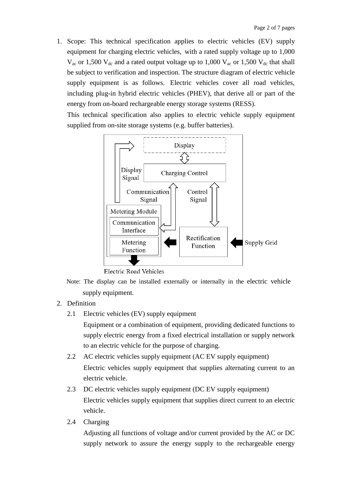1. Scope: This technical specification applies to electric vehicles (EV) supply equipment for charging electric vehicles, with a rated supply voltage up to 1,000  $V_{\text{ac}}$  or 1,500  $V_{\text{dc}}$  and a rated output voltage up to 1,000  $V_{\text{ac}}$  or 1,500  $V_{\text{dc}}$  that shall be subject to verification and inspection. The structure diagram of electric vehicle supply equipment is as follows. Electric vehicles cover all road vehicles, including plug-in hybrid electric vehicles (PHEV), that derive all or part of the energy from on-board rechargeable energy storage systems (RESS).

This technical specification also applies to electric vehicle supply equipment supplied from on-site storage systems (e.g. buffer batteries).



**Electric Road Vehicles** 

- Note: The display can be installed externally or internally in the electric vehicle supply equipment.
- 2. Definition
	- 2.1 Electric vehicles (EV) supply equipment

Equipment or a combination of equipment, providing dedicated functions to supply electric energy from a fixed electrical installation or supply network to an electric vehicle for the purpose of charging.

- 2.2 AC electric vehicles supply equipment (AC EV supply equipment) Electric vehicles supply equipment that supplies alternating current to an electric vehicle.
- 2.3 DC electric vehicles supply equipment (DC EV supply equipment) Electric vehicles supply equipment that supplies direct current to an electric vehicle.
- 2.4 Charging

Adjusting all functions of voltage and/or current provided by the AC or DC supply network to assure the energy supply to the rechargeable energy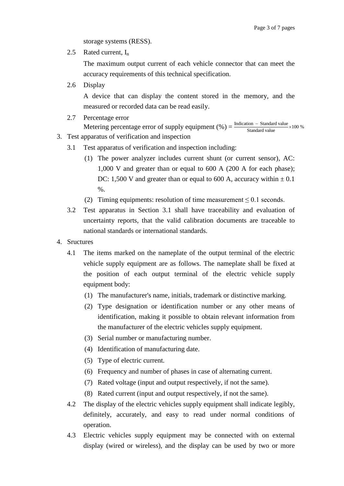storage systems (RESS).

2.5 Rated current,  $I_n$ 

The maximum output current of each vehicle connector that can meet the accuracy requirements of this technical specification.

2.6 Display

A device that can display the content stored in the memory, and the measured or recorded data can be read easily.

2.7 Percentage error

## Metering percentage error of supply equipment  $(\%) = \frac{\text{Indication} - \text{Standard value}}{\text{Standard value}} \times 100 \%$  $\frac{-$  Standard value

- 3. Test apparatus of verification and inspection
	- 3.1 Test apparatus of verification and inspection including:
		- (1) The power analyzer includes current shunt (or current sensor), AC: 1,000 V and greater than or equal to 600 A (200 A for each phase); DC: 1,500 V and greater than or equal to 600 A, accuracy within  $\pm$  0.1  $\%$ .
		- (2) Timing equipments: resolution of time measurement  $\leq 0.1$  seconds.
	- 3.2 Test apparatus in Section 3.1 shall have traceability and evaluation of uncertainty reports, that the valid calibration documents are traceable to national standards or international standards.
- 4. Sructures
	- 4.1 The items marked on the nameplate of the output terminal of the electric vehicle supply equipment are as follows. The nameplate shall be fixed at the position of each output terminal of the electric vehicle supply equipment body:
		- (1) The manufacturer's name, initials, trademark or distinctive marking.
		- (2) Type designation or identification number or any other means of identification, making it possible to obtain relevant information from the manufacturer of the electric vehicles supply equipment.
		- (3) Serial number or manufacturing number.
		- (4) Identification of manufacturing date.
		- (5) Type of electric current.
		- (6) Frequency and number of phases in case of alternating current.
		- (7) Rated voltage (input and output respectively, if not the same).
		- (8) Rated current (input and output respectively, if not the same).
	- 4.2 The display of the electric vehicles supply equipment shall indicate legibly, definitely, accurately, and easy to read under normal conditions of operation.
	- 4.3 Electric vehicles supply equipment may be connected with on external display (wired or wireless), and the display can be used by two or more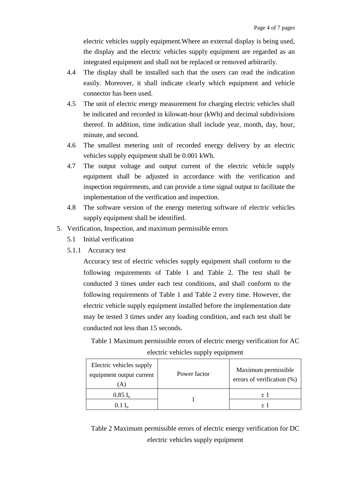electric vehicles supply equipment.Where an external display is being used, the display and the electric vehicles supply equipment are regarded as an integrated equipment and shall not be replaced or removed arbitrarily.

- 4.4 The display shall be installed such that the users can read the indication easily. Moreover, it shall indicate clearly which equipment and vehicle connector has been used.
- 4.5 The unit of electric energy measurement for charging electric vehicles shall be indicated and recorded in kilowatt-hour (kWh) and decimal subdivisions thereof. In addition, time indication shall include year, month, day, hour, minute, and second.
- 4.6 The smallest metering unit of recorded energy delivery by an electric vehicles supply equipment shall be 0.001 kWh.
- 4.7 The output voltage and output current of the electric vehicle supply equipment shall be adjusted in accordance with the verification and inspection requirements, and can provide a time signal output to facilitate the implementation of the verification and inspection.
- 4.8 The software version of the energy metering software of electric vehicles supply equipment shall be identified.
- 5. Verification, Inspection, and maximum permissible errors
	- 5.1 Initial verification
	- 5.1.1 Accuracy test

Accuracy test of electric vehicles supply equipment shall conform to the following requirements of Table 1 and Table 2. The test shall be conducted 3 times under each test conditions, and shall conform to the following requirements of Table 1 and Table 2 every time. However, the electric vehicle supply equipment installed before the implementation date may be tested 3 times under any loading condition, and each test shall be conducted not less than 15 seconds.

Table 1 Maximum permissible errors of electric energy verification for AC electric vehicles supply equipment

| Electric vehicles supply<br>equipment output current<br>A. | Power factor | Maximum permissible<br>errors of verification (%) |
|------------------------------------------------------------|--------------|---------------------------------------------------|
| $0.85 I_n$                                                 |              | $+1$                                              |
|                                                            |              |                                                   |

Table 2 Maximum permissible errors of electric energy verification for DC electric vehicles supply equipment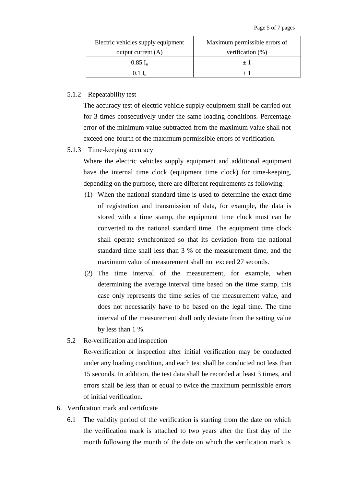| Electric vehicles supply equipment | Maximum permissible errors of |  |
|------------------------------------|-------------------------------|--|
| output current $(A)$               | verification $(\%)$           |  |
| $0.85$ I <sub>n</sub>              |                               |  |
| 0.1 L                              |                               |  |

## 5.1.2 Repeatability test

The accuracy test of electric vehicle supply equipment shall be carried out for 3 times consecutively under the same loading conditions. Percentage error of the minimum value subtracted from the maximum value shall not exceed one-fourth of the maximum permissible errors of verification.

5.1.3 Time-keeping accuracy

Where the electric vehicles supply equipment and additional equipment have the internal time clock (equipment time clock) for time-keeping, depending on the purpose, there are different requirements as following:

- (1) When the national standard time is used to determine the exact time of registration and transmission of data, for example, the data is stored with a time stamp, the equipment time clock must can be converted to the national standard time. The equipment time clock shall operate synchronized so that its deviation from the national standard time shall less than 3 % of the measurement time, and the maximum value of measurement shall not exceed 27 seconds.
- (2) The time interval of the measurement, for example, when determining the average interval time based on the time stamp, this case only represents the time series of the measurement value, and does not necessarily have to be based on the legal time. The time interval of the measurement shall only deviate from the setting value by less than 1 %.
- 5.2 Re-verification and inspection

Re-verification or inspection after initial verification may be conducted under any loading condition, and each test shall be conducted not less than 15 seconds. In addition, the test data shall be recorded at least 3 times, and errors shall be less than or equal to twice the maximum permissible errors of initial verification.

- 6. Verification mark and certificate
	- 6.1 The validity period of the verification is starting from the date on which the verification mark is attached to two years after the first day of the month following the month of the date on which the verification mark is